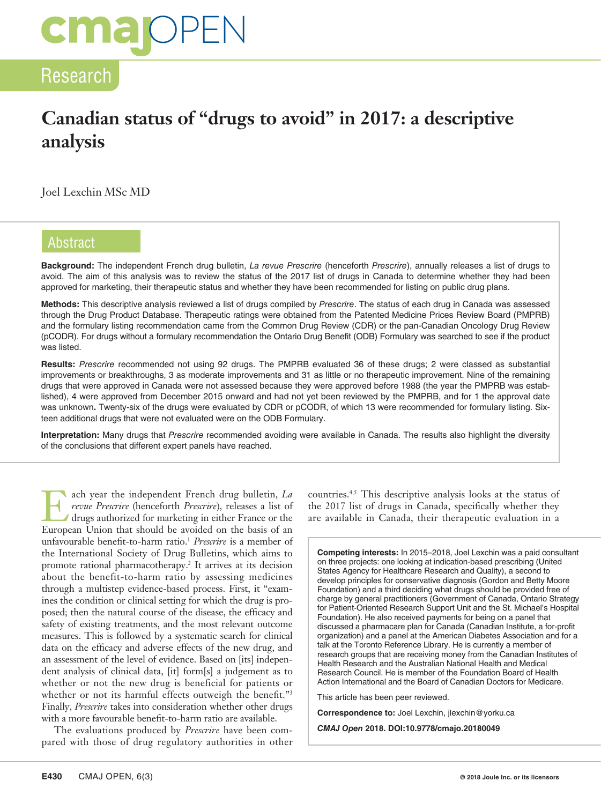# **CMal**OPEN

### Research

# **Canadian status of "drugs to avoid" in 2017: a descriptive analysis**

Joel Lexchin MSc MD

### Abstract

**Background:** The independent French drug bulletin, *La revue Prescrire* (henceforth *Prescrire*), annually releases a list of drugs to avoid. The aim of this analysis was to review the status of the 2017 list of drugs in Canada to determine whether they had been approved for marketing, their therapeutic status and whether they have been recommended for listing on public drug plans.

**Methods:** This descriptive analysis reviewed a list of drugs compiled by *Prescrire*. The status of each drug in Canada was assessed through the Drug Product Database. Therapeutic ratings were obtained from the Patented Medicine Prices Review Board (PMPRB) and the formulary listing recommendation came from the Common Drug Review (CDR) or the pan-Canadian Oncology Drug Review (pCODR). For drugs without a formulary recommendation the Ontario Drug Benefit (ODB) Formulary was searched to see if the product was listed.

**Results:** *Prescrire* recommended not using 92 drugs. The PMPRB evaluated 36 of these drugs; 2 were classed as substantial improvements or breakthroughs, 3 as moderate improvements and 31 as little or no therapeutic improvement. Nine of the remaining drugs that were approved in Canada were not assessed because they were approved before 1988 (the year the PMPRB was established), 4 were approved from December 2015 onward and had not yet been reviewed by the PMPRB, and for 1 the approval date was unknown**.** Twenty-six of the drugs were evaluated by CDR or pCODR, of which 13 were recommended for formulary listing. Sixteen additional drugs that were not evaluated were on the ODB Formulary.

**Interpretation:** Many drugs that *Prescrire* recommended avoiding were available in Canada. The results also highlight the diversity of the conclusions that different expert panels have reached.

Each year the independent French drug bulletin, *La*<br> *drugs authorized for marketing in either France or the*<br>
European Union that should be avoided on the besis of an *revue Prescrire* (henceforth *Prescrire*), releases a list of European Union that should be avoided on the basis of an unfavourable benefit-to-harm ratio.<sup>1</sup> *Prescrire* is a member of the International Society of Drug Bulletins, which aims to promote rational pharmacotherapy.2 It arrives at its decision about the benefit-to-harm ratio by assessing medicines through a multistep evidence-based process. First, it "examines the condition or clinical setting for which the drug is proposed; then the natural course of the disease, the efficacy and safety of existing treatments, and the most relevant outcome measures. This is followed by a systematic search for clinical data on the efficacy and adverse effects of the new drug, and an assessment of the level of evidence. Based on [its] independent analysis of clinical data, [it] form[s] a judgement as to whether or not the new drug is beneficial for patients or whether or not its harmful effects outweigh the benefit."3 Finally, *Prescrire* takes into consideration whether other drugs with a more favourable benefit-to-harm ratio are available.

The evaluations produced by *Prescrire* have been compared with those of drug regulatory authorities in other countries.4,5 This descriptive analysis looks at the status of the 2017 list of drugs in Canada, specifically whether they are available in Canada, their therapeutic evaluation in a

**Competing interests:** In 2015–2018, Joel Lexchin was a paid consultant on three projects: one looking at indication-based prescribing (United States Agency for Healthcare Research and Quality), a second to develop principles for conservative diagnosis (Gordon and Betty Moore Foundation) and a third deciding what drugs should be provided free of charge by general practitioners (Government of Canada, Ontario Strategy for Patient-Oriented Research Support Unit and the St. Michael's Hospital Foundation). He also received payments for being on a panel that discussed a pharmacare plan for Canada (Canadian Institute, a for-profit organization) and a panel at the American Diabetes Association and for a talk at the Toronto Reference Library. He is currently a member of research groups that are receiving money from the Canadian Institutes of Health Research and the Australian National Health and Medical Research Council. He is member of the Foundation Board of Health Action International and the Board of Canadian Doctors for Medicare.

This article has been peer reviewed.

**Correspondence to:** Joel Lexchin, jlexchin@yorku.ca

*CMAJ Open* **2018. DOI:10.9778/cmajo.20180049**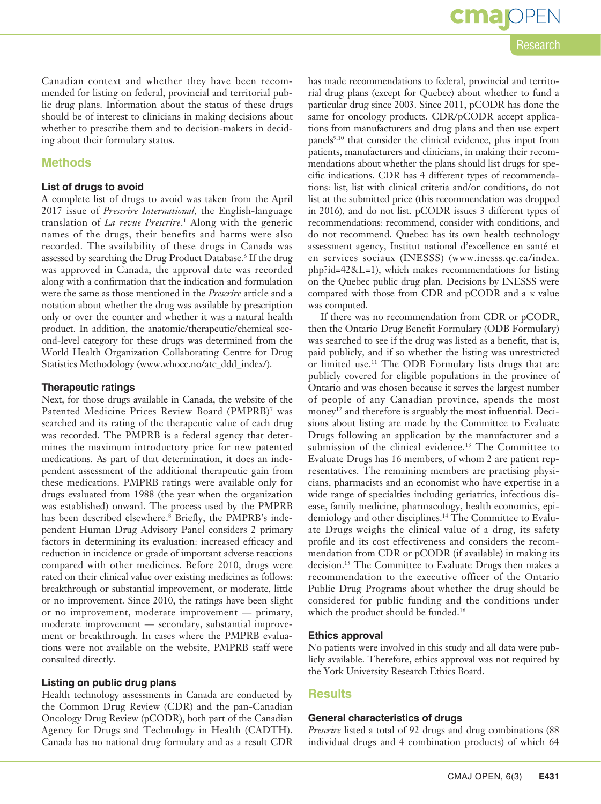### **OPEN** Research

Canadian context and whether they have been recommended for listing on federal, provincial and territorial public drug plans. Information about the status of these drugs should be of interest to clinicians in making decisions about whether to prescribe them and to decision-makers in deciding about their formulary status.

### **Methods**

#### **List of drugs to avoid**

A complete list of drugs to avoid was taken from the April 2017 issue of *Prescrire International*, the English-language translation of *La revue Prescrire*. 1 Along with the generic names of the drugs, their benefits and harms were also recorded. The availability of these drugs in Canada was assessed by searching the Drug Product Database.<sup>6</sup> If the drug was approved in Canada, the approval date was recorded along with a confirmation that the indication and formulation were the same as those mentioned in the *Prescrire* article and a notation about whether the drug was available by prescription only or over the counter and whether it was a natural health product. In addition, the anatomic/therapeutic/chemical second-level category for these drugs was determined from the World Health Organization Collaborating Centre for Drug Statistics Methodology (www.whocc.no/atc\_ddd\_index/).

#### **Therapeutic ratings**

Next, for those drugs available in Canada, the website of the Patented Medicine Prices Review Board (PMPRB)7 was searched and its rating of the therapeutic value of each drug was recorded. The PMPRB is a federal agency that determines the maximum introductory price for new patented medications. As part of that determination, it does an independent assessment of the additional therapeutic gain from these medications. PMPRB ratings were available only for drugs evaluated from 1988 (the year when the organization was established) onward. The process used by the PMPRB has been described elsewhere.8 Briefly, the PMPRB's independent Human Drug Advisory Panel considers 2 primary factors in determining its evaluation: increased efficacy and reduction in incidence or grade of important adverse reactions compared with other medicines. Before 2010, drugs were rated on their clinical value over existing medicines as follows: breakthrough or substantial improvement, or moderate, little or no improvement. Since 2010, the ratings have been slight or no improvement, moderate improvement — primary, moderate improvement — secondary, substantial improvement or breakthrough. In cases where the PMPRB evaluations were not available on the website, PMPRB staff were consulted directly.

#### **Listing on public drug plans**

Health technology assessments in Canada are conducted by the Common Drug Review (CDR) and the pan-Canadian Oncology Drug Review (pCODR), both part of the Canadian Agency for Drugs and Technology in Health (CADTH). Canada has no national drug formulary and as a result CDR

has made recommendations to federal, provincial and territorial drug plans (except for Quebec) about whether to fund a particular drug since 2003. Since 2011, pCODR has done the same for oncology products. CDR/pCODR accept applications from manufacturers and drug plans and then use expert panels<sup>9,10</sup> that consider the clinical evidence, plus input from patients, manufacturers and clinicians, in making their recommendations about whether the plans should list drugs for specific indications. CDR has 4 different types of recommendations: list, list with clinical criteria and/or conditions, do not list at the submitted price (this recommendation was dropped in 2016), and do not list. pCODR issues 3 different types of recommendations: recommend, consider with conditions, and do not recommend. Quebec has its own health technology assessment agency, Institut national d'excellence en santé et en services sociaux (INESSS) (www.inesss.qc.ca/index.  $php$ ?id=42&L=1), which makes recommendations for listing on the Quebec public drug plan. Decisions by INESSS were compared with those from CDR and pCODR and a κ value was computed.

If there was no recommendation from CDR or pCODR, then the Ontario Drug Benefit Formulary (ODB Formulary) was searched to see if the drug was listed as a benefit, that is, paid publicly, and if so whether the listing was unrestricted or limited use.11 The ODB Formulary lists drugs that are publicly covered for eligible populations in the province of Ontario and was chosen because it serves the largest number of people of any Canadian province, spends the most money<sup>12</sup> and therefore is arguably the most influential. Decisions about listing are made by the Committee to Evaluate Drugs following an application by the manufacturer and a submission of the clinical evidence.<sup>13</sup> The Committee to Evaluate Drugs has 16 members, of whom 2 are patient representatives. The remaining members are practising physicians, pharmacists and an economist who have expertise in a wide range of specialties including geriatrics, infectious disease, family medicine, pharmacology, health economics, epidemiology and other disciplines.<sup>14</sup> The Committee to Evaluate Drugs weighs the clinical value of a drug, its safety profile and its cost effectiveness and considers the recommendation from CDR or pCODR (if available) in making its decision.15 The Committee to Evaluate Drugs then makes a recommendation to the executive officer of the Ontario Public Drug Programs about whether the drug should be considered for public funding and the conditions under which the product should be funded.<sup>16</sup>

#### **Ethics approval**

No patients were involved in this study and all data were publicly available. Therefore, ethics approval was not required by the York University Research Ethics Board.

#### **Results**

#### **General characteristics of drugs**

*Prescrire* listed a total of 92 drugs and drug combinations (88 individual drugs and 4 combination products) of which 64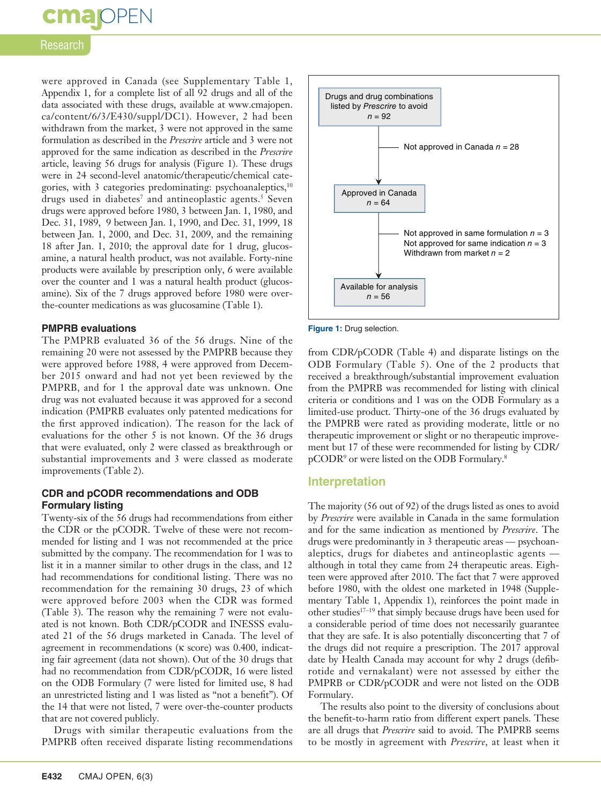# **cmajoPEN**

### Research

were approved in Canada (see Supplementary Table 1, Appendix 1, for a complete list of all 92 drugs and all of the data associated with these drugs, available at www.cmajopen. ca/content/6/3/E430/suppl/DC1). However, 2 had been withdrawn from the market, 3 were not approved in the same formulation as described in the *Prescrire* article and 3 were not approved for the same indication as described in the *Prescrire* article, leaving 56 drugs for analysis (Figure 1). These drugs were in 24 second-level anatomic/therapeutic/chemical categories, with 3 categories predominating: psychoanaleptics,<sup>10</sup> drugs used in diabetes<sup>7</sup> and antineoplastic agents.<sup>5</sup> Seven drugs were approved before 1980, 3 between Jan. 1, 1980, and Dec. 31, 1989, 9 between Jan. 1, 1990, and Dec. 31, 1999, 18 between Jan. 1, 2000, and Dec. 31, 2009, and the remaining 18 after Jan. 1, 2010; the approval date for 1 drug, glucosamine, a natural health product, was not available. Forty-nine products were available by prescription only, 6 were available over the counter and 1 was a natural health product (glucosamine). Six of the 7 drugs approved before 1980 were overthe-counter medications as was glucosamine (Table 1).

#### **PMPRB evaluations**

The PMPRB evaluated 36 of the 56 drugs. Nine of the remaining 20 were not assessed by the PMPRB because they were approved before 1988, 4 were approved from December 2015 onward and had not yet been reviewed by the PMPRB, and for 1 the approval date was unknown. One drug was not evaluated because it was approved for a second indication (PMPRB evaluates only patented medications for the first approved indication). The reason for the lack of evaluations for the other 5 is not known. Of the 36 drugs that were evaluated, only 2 were classed as breakthrough or substantial improvements and 3 were classed as moderate improvements (Table 2).

### **CDR and pCODR recommendations and ODB Formulary listing**

Twenty-six of the 56 drugs had recommendations from either the CDR or the pCODR. Twelve of these were not recommended for listing and 1 was not recommended at the price submitted by the company. The recommendation for 1 was to list it in a manner similar to other drugs in the class, and 12 had recommendations for conditional listing. There was no recommendation for the remaining 30 drugs, 23 of which were approved before 2003 when the CDR was formed (Table 3). The reason why the remaining 7 were not evaluated is not known. Both CDR/pCODR and INESSS evaluated 21 of the 56 drugs marketed in Canada. The level of agreement in recommendations (κ score) was 0.400, indicating fair agreement (data not shown). Out of the 30 drugs that had no recommendation from CDR/pCODR, 16 were listed on the ODB Formulary (7 were listed for limited use, 8 had an unrestricted listing and 1 was listed as "not a benefit"). Of the 14 that were not listed, 7 were over-the-counter products that are not covered publicly.

Drugs with similar therapeutic evaluations from the PMPRB often received disparate listing recommendations



**Figure 1:** Drug selection.

from CDR/pCODR (Table 4) and disparate listings on the ODB Formulary (Table 5). One of the 2 products that received a breakthrough/substantial improvement evaluation from the PMPRB was recommended for listing with clinical criteria or conditions and 1 was on the ODB Formulary as a limited-use product. Thirty-one of the 36 drugs evaluated by the PMPRB were rated as providing moderate, little or no therapeutic improvement or slight or no therapeutic improvement but 17 of these were recommended for listing by CDR/ pCODR9 or were listed on the ODB Formulary.8

### **Interpretation**

The majority (56 out of 92) of the drugs listed as ones to avoid by *Prescrire* were available in Canada in the same formulation and for the same indication as mentioned by *Prescrire*. The drugs were predominantly in 3 therapeutic areas — psychoanaleptics, drugs for diabetes and antineoplastic agents although in total they came from 24 therapeutic areas. Eighteen were approved after 2010. The fact that 7 were approved before 1980, with the oldest one marketed in 1948 (Supplementary Table 1, Appendix 1), reinforces the point made in other studies17–19 that simply because drugs have been used for a considerable period of time does not necessarily guarantee that they are safe. It is also potentially disconcerting that 7 of the drugs did not require a prescription. The 2017 approval date by Health Canada may account for why 2 drugs (defibrotide and vernakalant) were not assessed by either the PMPRB or CDR/pCODR and were not listed on the ODB Formulary.

The results also point to the diversity of conclusions about the benefit-to-harm ratio from different expert panels. These are all drugs that *Prescrire* said to avoid. The PMPRB seems to be mostly in agreement with *Prescrire*, at least when it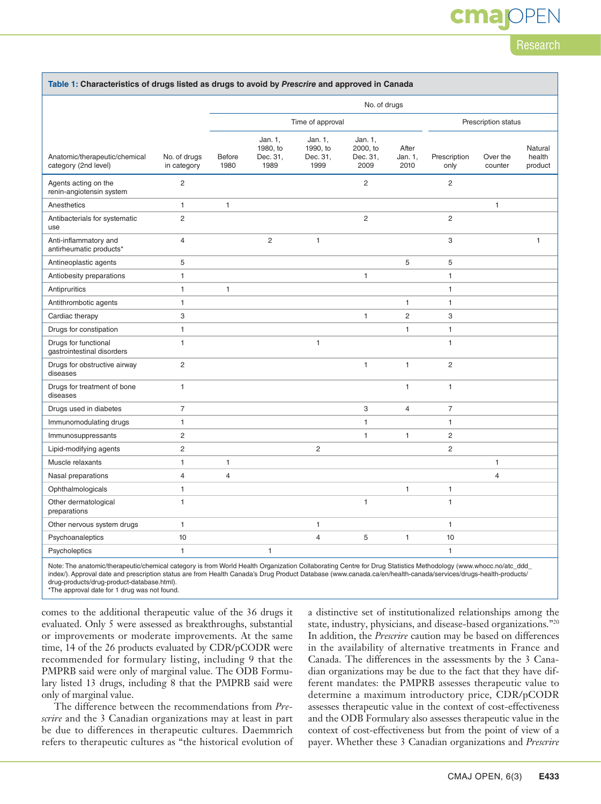# **OPEN**

Research

|                                                       |                             | No. of drugs          |                                         |                                         |                                         |                          |                      |                     |                              |
|-------------------------------------------------------|-----------------------------|-----------------------|-----------------------------------------|-----------------------------------------|-----------------------------------------|--------------------------|----------------------|---------------------|------------------------------|
|                                                       |                             | Time of approval      |                                         |                                         | Prescription status                     |                          |                      |                     |                              |
| Anatomic/therapeutic/chemical<br>category (2nd level) | No. of drugs<br>in category | <b>Before</b><br>1980 | Jan. 1,<br>1980, to<br>Dec. 31,<br>1989 | Jan. 1,<br>1990, to<br>Dec. 31,<br>1999 | Jan. 1,<br>2000. to<br>Dec. 31,<br>2009 | After<br>Jan. 1,<br>2010 | Prescription<br>only | Over the<br>counter | Natural<br>health<br>product |
| Agents acting on the<br>renin-angiotensin system      | $\overline{2}$              |                       |                                         |                                         | $\overline{c}$                          |                          | $\overline{c}$       |                     |                              |
| Anesthetics                                           | $\mathbf{1}$                | 1                     |                                         |                                         |                                         |                          |                      | $\mathbf{1}$        |                              |
| Antibacterials for systematic<br>use                  | $\overline{c}$              |                       |                                         |                                         | 2                                       |                          | $\overline{c}$       |                     |                              |
| Anti-inflammatory and<br>antirheumatic products*      | $\overline{4}$              |                       | $\overline{c}$                          | $\mathbf{1}$                            |                                         |                          | 3                    |                     | $\mathbf{1}$                 |
| Antineoplastic agents                                 | 5                           |                       |                                         |                                         |                                         | 5                        | 5                    |                     |                              |
| Antiobesity preparations                              | $\mathbf{1}$                |                       |                                         |                                         | 1                                       |                          | $\mathbf{1}$         |                     |                              |
| Antipruritics                                         | $\mathbf{1}$                | $\mathbf{1}$          |                                         |                                         |                                         |                          | $\mathbf{1}$         |                     |                              |
| Antithrombotic agents                                 | $\mathbf{1}$                |                       |                                         |                                         |                                         | $\mathbf{1}$             | $\mathbf{1}$         |                     |                              |
| Cardiac therapy                                       | 3                           |                       |                                         |                                         | $\mathbf{1}$                            | $\overline{c}$           | 3                    |                     |                              |
| Drugs for constipation                                | $\mathbf{1}$                |                       |                                         |                                         |                                         | $\mathbf{1}$             | $\mathbf{1}$         |                     |                              |
| Drugs for functional<br>gastrointestinal disorders    | $\mathbf{1}$                |                       |                                         | $\mathbf{1}$                            |                                         |                          | $\mathbf{1}$         |                     |                              |
| Drugs for obstructive airway<br>diseases              | $\overline{c}$              |                       |                                         |                                         | $\mathbf{1}$                            | $\mathbf{1}$             | $\overline{c}$       |                     |                              |
| Drugs for treatment of bone<br>diseases               | $\mathbf{1}$                |                       |                                         |                                         |                                         | $\mathbf{1}$             | $\mathbf{1}$         |                     |                              |
| Drugs used in diabetes                                | $\overline{7}$              |                       |                                         |                                         | 3                                       | $\overline{4}$           | $\overline{7}$       |                     |                              |
| Immunomodulating drugs                                | $\mathbf{1}$                |                       |                                         |                                         | 1                                       |                          | 1                    |                     |                              |
| Immunosuppressants                                    | $\sqrt{2}$                  |                       |                                         |                                         | 1                                       | 1                        | $\overline{c}$       |                     |                              |
| Lipid-modifying agents                                | $\overline{c}$              |                       |                                         | 2                                       |                                         |                          | $\overline{c}$       |                     |                              |
| Muscle relaxants                                      | $\mathbf{1}$                | 1                     |                                         |                                         |                                         |                          |                      | $\mathbf{1}$        |                              |
| Nasal preparations                                    | $\overline{4}$              | $\overline{4}$        |                                         |                                         |                                         |                          |                      | $\overline{4}$      |                              |
| Ophthalmologicals                                     | $\mathbf{1}$                |                       |                                         |                                         |                                         | 1                        | $\mathbf{1}$         |                     |                              |
| Other dermatological<br>preparations                  | $\mathbf{1}$                |                       |                                         |                                         | $\mathbf{1}$                            |                          | $\mathbf{1}$         |                     |                              |
| Other nervous system drugs                            | 1                           |                       |                                         | 1                                       |                                         |                          | 1                    |                     |                              |
| Psychoanaleptics                                      | 10                          |                       |                                         | $\overline{4}$                          | 5                                       | $\mathbf{1}$             | 10                   |                     |                              |
| Psycholeptics                                         | $\mathbf{1}$                |                       | $\mathbf{1}$                            |                                         |                                         |                          | 1                    |                     |                              |

Note: The anatomic/therapeutic/chemical category is from World Health Organization Collaborating Centre for Drug Statistics Methodology (www.whocc.no/atc\_ddd index/). Approval date and prescription status are from Health Canada's Drug Product Database (www.canada.ca/en/health-canada/services/drugs-health-products/ drug-products/drug-product-database.html).

\*The approval date for 1 drug was not found.

comes to the additional therapeutic value of the 36 drugs it evaluated. Only 5 were assessed as breakthroughs, substantial or improvements or moderate improvements. At the same time, 14 of the 26 products evaluated by CDR/pCODR were recommended for formulary listing, including 9 that the PMPRB said were only of marginal value. The ODB Formulary listed 13 drugs, including 8 that the PMPRB said were only of marginal value.

The difference between the recommendations from *Prescrire* and the 3 Canadian organizations may at least in part be due to differences in therapeutic cultures. Daemmrich refers to therapeutic cultures as "the historical evolution of a distinctive set of institutionalized relationships among the state, industry, physicians, and disease-based organizations."20 In addition, the *Prescrire* caution may be based on differences in the availability of alternative treatments in France and Canada. The differences in the assessments by the 3 Canadian organizations may be due to the fact that they have different mandates: the PMPRB assesses therapeutic value to determine a maximum introductory price, CDR/pCODR assesses therapeutic value in the context of cost-effectiveness and the ODB Formulary also assesses therapeutic value in the context of cost-effectiveness but from the point of view of a payer. Whether these 3 Canadian organizations and *Prescrire*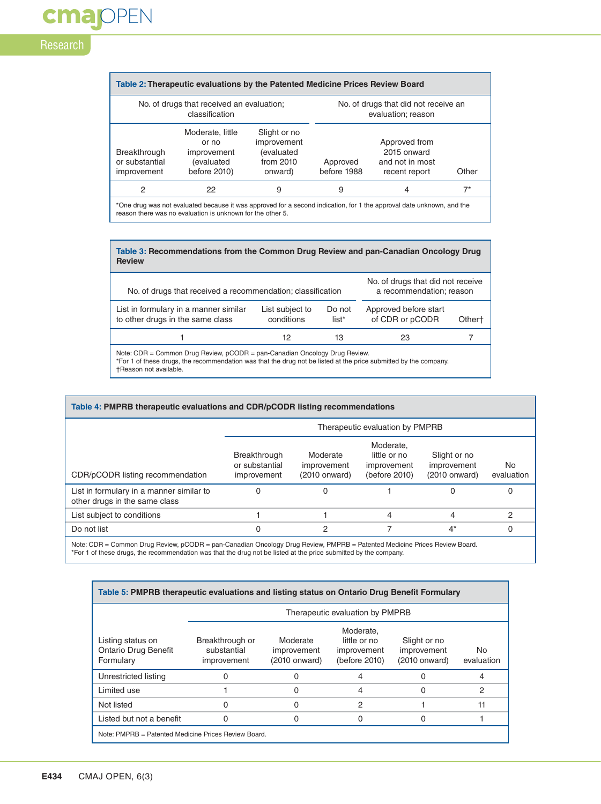# cmajOPEN Research

| Table 2: Therapeutic evaluations by the Patented Medicine Prices Review Board                                                                                                       |                                                                               |                                                                   |                                                            |                                                                  |       |  |  |
|-------------------------------------------------------------------------------------------------------------------------------------------------------------------------------------|-------------------------------------------------------------------------------|-------------------------------------------------------------------|------------------------------------------------------------|------------------------------------------------------------------|-------|--|--|
| No. of drugs that received an evaluation;<br>classification                                                                                                                         |                                                                               |                                                                   | No. of drugs that did not receive an<br>evaluation; reason |                                                                  |       |  |  |
| Breakthrough<br>or substantial<br>improvement                                                                                                                                       | Moderate, little<br>or no<br>improvement<br><i>(evaluated</i><br>before 2010) | Slight or no<br>improvement<br>(evaluated<br>from 2010<br>onward) | Approved<br>before 1988                                    | Approved from<br>2015 onward<br>and not in most<br>recent report | Other |  |  |
| 2                                                                                                                                                                                   | 22                                                                            | 9                                                                 | 9                                                          | 4                                                                | $7^*$ |  |  |
| *One drug was not evaluated because it was approved for a second indication, for 1 the approval date unknown, and the<br>reason there was no evaluation is unknown for the other 5. |                                                                               |                                                                   |                                                            |                                                                  |       |  |  |

| Table 3: Recommendations from the Common Drug Review and pan-Canadian Oncology Drug<br><b>Review</b>                                                                                                                                |                               |                   |                                          |                    |  |  |  |
|-------------------------------------------------------------------------------------------------------------------------------------------------------------------------------------------------------------------------------------|-------------------------------|-------------------|------------------------------------------|--------------------|--|--|--|
| No. of drugs that did not receive<br>a recommendation; reason<br>No. of drugs that received a recommendation; classification                                                                                                        |                               |                   |                                          |                    |  |  |  |
| List in formulary in a manner similar<br>to other drugs in the same class                                                                                                                                                           | List subject to<br>conditions | Do not<br>$list*$ | Approved before start<br>of CDR or pCODR | Other <sup>+</sup> |  |  |  |
|                                                                                                                                                                                                                                     | 12                            | 13                | 23                                       |                    |  |  |  |
| Note: $CDR =$ Common Drug Review, $pCODE =$ pan-Canadian Oncology Drug Review.<br>*For 1 of these drugs, the recommendation was that the drug not be listed at the price submitted by the company.<br><b>+Reason not available.</b> |                               |                   |                                          |                    |  |  |  |

|                                                                           | Therapeutic evaluation by PMPRB               |                                          |                                                           |                                                |                  |  |  |
|---------------------------------------------------------------------------|-----------------------------------------------|------------------------------------------|-----------------------------------------------------------|------------------------------------------------|------------------|--|--|
| CDR/pCODR listing recommendation                                          | Breakthrough<br>or substantial<br>improvement | Moderate<br>improvement<br>(2010 onward) | Moderate,<br>little or no<br>improvement<br>(before 2010) | Slight or no<br>improvement<br>$(2010$ onward) | No<br>evaluation |  |  |
| List in formulary in a manner similar to<br>other drugs in the same class | 0                                             | O                                        |                                                           |                                                | 0                |  |  |
| List subject to conditions                                                |                                               |                                          | 4                                                         | 4                                              | 2                |  |  |
| Do not list                                                               | 0                                             | 2                                        |                                                           | $4^*$                                          |                  |  |  |

Note: CDR = Common Drug Review, pCODR = pan-Canadian Oncology Drug Review, PMPRB = Patented Medicine Prices Review Board.<br>\*For 1 of these drugs, the recommendation was that the drug not be listed at the price submitted by

| Table 5: PMPRB therapeutic evaluations and listing status on Ontario Drug Benefit Formulary |                                               |                                          |                                                           |                                              |                   |  |  |  |
|---------------------------------------------------------------------------------------------|-----------------------------------------------|------------------------------------------|-----------------------------------------------------------|----------------------------------------------|-------------------|--|--|--|
|                                                                                             | Therapeutic evaluation by PMPRB               |                                          |                                                           |                                              |                   |  |  |  |
| Listing status on<br><b>Ontario Drug Benefit</b><br>Formulary                               | Breakthrough or<br>substantial<br>improvement | Moderate<br>improvement<br>(2010 onward) | Moderate.<br>little or no<br>improvement<br>(before 2010) | Slight or no<br>improvement<br>(2010 onward) | No.<br>evaluation |  |  |  |
| Unrestricted listing                                                                        |                                               |                                          |                                                           |                                              |                   |  |  |  |
| Limited use                                                                                 |                                               | 0                                        | 4                                                         | 0                                            | 2                 |  |  |  |
| Not listed                                                                                  |                                               | 0                                        | 2                                                         |                                              | 11                |  |  |  |
| Listed but not a benefit                                                                    |                                               | 0                                        | O)                                                        | Ω                                            |                   |  |  |  |
| Note: PMPRB = Patented Medicine Prices Review Board.                                        |                                               |                                          |                                                           |                                              |                   |  |  |  |

Г